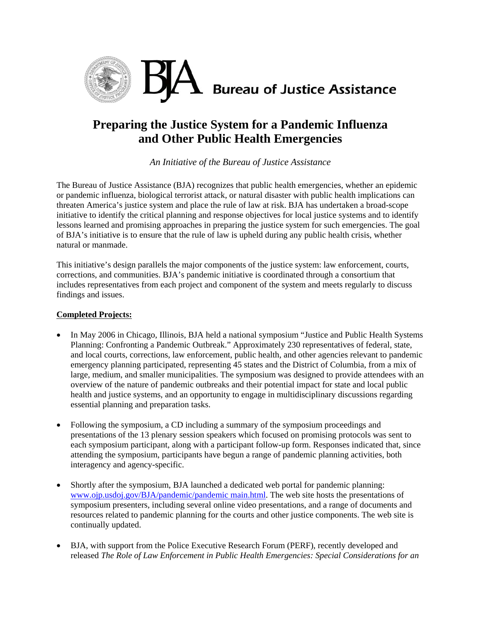

# **Preparing the Justice System for a Pandemic Influenza and Other Public Health Emergencies**

*An Initiative of the Bureau of Justice Assistance* 

The Bureau of Justice Assistance (BJA) recognizes that public health emergencies, whether an epidemic or pandemic influenza, biological terrorist attack, or natural disaster with public health implications can threaten America's justice system and place the rule of law at risk. BJA has undertaken a broad-scope initiative to identify the critical planning and response objectives for local justice systems and to identify lessons learned and promising approaches in preparing the justice system for such emergencies. The goal of BJA's initiative is to ensure that the rule of law is upheld during any public health crisis, whether natural or manmade.

This initiative's design parallels the major components of the justice system: law enforcement, courts, corrections, and communities. BJA's pandemic initiative is coordinated through a consortium that includes representatives from each project and component of the system and meets regularly to discuss findings and issues.

## **Completed Projects:**

- In May 2006 in Chicago, Illinois, BJA held a national symposium "Justice and Public Health Systems Planning: Confronting a Pandemic Outbreak." Approximately 230 representatives of federal, state, and local courts, corrections, law enforcement, public health, and other agencies relevant to pandemic emergency planning participated, representing 45 states and the District of Columbia, from a mix of large, medium, and smaller municipalities. The symposium was designed to provide attendees with an overview of the nature of pandemic outbreaks and their potential impact for state and local public health and justice systems, and an opportunity to engage in multidisciplinary discussions regarding essential planning and preparation tasks.
- Following the symposium, a CD including a summary of the symposium proceedings and presentations of the 13 plenary session speakers which focused on promising protocols was sent to each symposium participant, along with a participant follow-up form. Responses indicated that, since attending the symposium, participants have begun a range of pandemic planning activities, both interagency and agency-specific.
- Shortly after the symposium, BJA launched a dedicated web portal for pandemic planning: [www.ojp.usdoj.gov/BJA/pandemic/pandemic main.html](http://www.ojp.usdoj.gov/BJA/pandemic/pandemic_main.html). The web site hosts the presentations of symposium presenters, including several online video presentations, and a range of documents and resources related to pandemic planning for the courts and other justice components. The web site is continually updated.
- BJA, with support from the Police Executive Research Forum (PERF), recently developed and released *The Role of Law Enforcement in Public Health Emergencies: Special Considerations for an*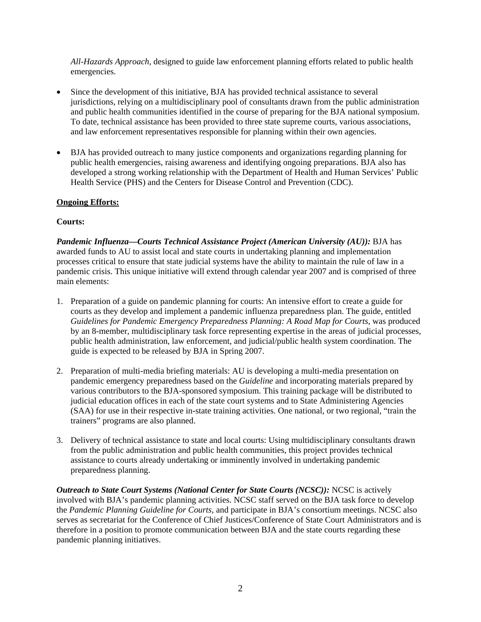*All-Hazards Approach*, designed to guide law enforcement planning efforts related to public health emergencies.

- Since the development of this initiative, BJA has provided technical assistance to several jurisdictions, relying on a multidisciplinary pool of consultants drawn from the public administration and public health communities identified in the course of preparing for the BJA national symposium. To date, technical assistance has been provided to three state supreme courts, various associations, and law enforcement representatives responsible for planning within their own agencies.
- BJA has provided outreach to many justice components and organizations regarding planning for public health emergencies, raising awareness and identifying ongoing preparations. BJA also has developed a strong working relationship with the Department of Health and Human Services' Public Health Service (PHS) and the Centers for Disease Control and Prevention (CDC).

#### **Ongoing Efforts:**

#### **Courts:**

*Pandemic Influenza—Courts Technical Assistance Project (American University (AU)):* BJA has awarded funds to AU to assist local and state courts in undertaking planning and implementation processes critical to ensure that state judicial systems have the ability to maintain the rule of law in a pandemic crisis. This unique initiative will extend through calendar year 2007 and is comprised of three main elements:

- 1. Preparation of a guide on pandemic planning for courts: An intensive effort to create a guide for courts as they develop and implement a pandemic influenza preparedness plan. The guide, entitled *Guidelines for Pandemic Emergency Preparedness Planning: A Road Map for Courts,* was produced by an 8-member, multidisciplinary task force representing expertise in the areas of judicial processes, public health administration, law enforcement, and judicial/public health system coordination. The guide is expected to be released by BJA in Spring 2007.
- 2. Preparation of multi-media briefing materials: AU is developing a multi-media presentation on pandemic emergency preparedness based on the *Guideline* and incorporating materials prepared by various contributors to the BJA-sponsored symposium. This training package will be distributed to judicial education offices in each of the state court systems and to State Administering Agencies (SAA) for use in their respective in-state training activities. One national, or two regional, "train the trainers" programs are also planned.
- 3. Delivery of technical assistance to state and local courts: Using multidisciplinary consultants drawn from the public administration and public health communities, this project provides technical assistance to courts already undertaking or imminently involved in undertaking pandemic preparedness planning.

*Outreach to State Court Systems (National Center for State Courts (NCSC)):* NCSC is actively involved with BJA's pandemic planning activities. NCSC staff served on the BJA task force to develop the *Pandemic Planning Guideline for Courts,* and participate in BJA's consortium meetings. NCSC also serves as secretariat for the Conference of Chief Justices/Conference of State Court Administrators and is therefore in a position to promote communication between BJA and the state courts regarding these pandemic planning initiatives.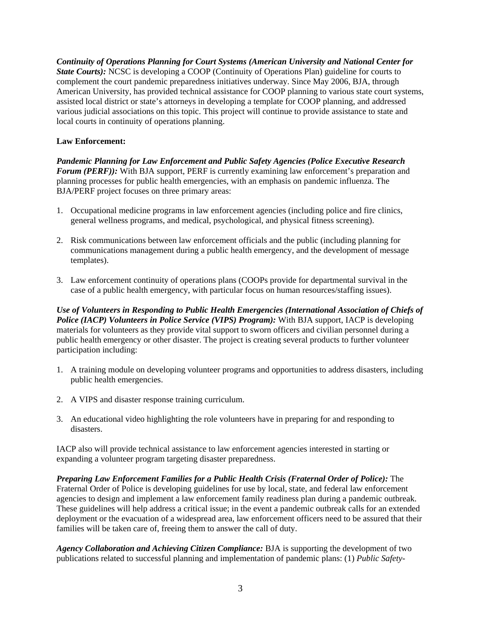*Continuity of Operations Planning for Court Systems (American University and National Center for State Courts*): NCSC is developing a COOP (Continuity of Operations Plan) guideline for courts to complement the court pandemic preparedness initiatives underway. Since May 2006, BJA, through American University, has provided technical assistance for COOP planning to various state court systems, assisted local district or state's attorneys in developing a template for COOP planning, and addressed various judicial associations on this topic. This project will continue to provide assistance to state and local courts in continuity of operations planning.

## **Law Enforcement:**

*Pandemic Planning for Law Enforcement and Public Safety Agencies (Police Executive Research Forum (PERF):* With BJA support, PERF is currently examining law enforcement's preparation and planning processes for public health emergencies, with an emphasis on pandemic influenza. The BJA/PERF project focuses on three primary areas:

- 1. Occupational medicine programs in law enforcement agencies (including police and fire clinics, general wellness programs, and medical, psychological, and physical fitness screening).
- 2. Risk communications between law enforcement officials and the public (including planning for communications management during a public health emergency, and the development of message templates).
- 3. Law enforcement continuity of operations plans (COOPs provide for departmental survival in the case of a public health emergency, with particular focus on human resources/staffing issues).

*Use of Volunteers in Responding to Public Health Emergencies (International Association of Chiefs of Police (IACP) Volunteers in Police Service (VIPS) Program):* With BJA support, IACP is developing materials for volunteers as they provide vital support to sworn officers and civilian personnel during a public health emergency or other disaster. The project is creating several products to further volunteer participation including:

- 1. A training module on developing volunteer programs and opportunities to address disasters, including public health emergencies.
- 2. A VIPS and disaster response training curriculum.
- 3. An educational video highlighting the role volunteers have in preparing for and responding to disasters.

IACP also will provide technical assistance to law enforcement agencies interested in starting or expanding a volunteer program targeting disaster preparedness.

*Preparing Law Enforcement Families for a Public Health Crisis (Fraternal Order of Police):* The Fraternal Order of Police is developing guidelines for use by local, state, and federal law enforcement agencies to design and implement a law enforcement family readiness plan during a pandemic outbreak. These guidelines will help address a critical issue; in the event a pandemic outbreak calls for an extended deployment or the evacuation of a widespread area, law enforcement officers need to be assured that their families will be taken care of, freeing them to answer the call of duty.

*Agency Collaboration and Achieving Citizen Compliance:* BJA is supporting the development of two publications related to successful planning and implementation of pandemic plans: (1) *Public Safety-*